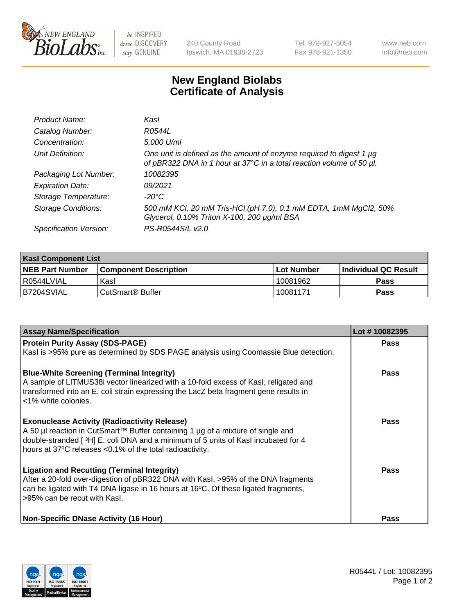

 $be$  INSPIRED drive DISCOVERY stay GENUINE

240 County Road Ipswich, MA 01938-2723 Tel 978-927-5054 Fax 978-921-1350 www.neb.com info@neb.com

## **New England Biolabs Certificate of Analysis**

| Product Name:              | Kasl                                                                                                                                        |
|----------------------------|---------------------------------------------------------------------------------------------------------------------------------------------|
| Catalog Number:            | R0544L                                                                                                                                      |
| Concentration:             | 5,000 U/ml                                                                                                                                  |
| Unit Definition:           | One unit is defined as the amount of enzyme required to digest 1 µg<br>of pBR322 DNA in 1 hour at 37°C in a total reaction volume of 50 µl. |
| Packaging Lot Number:      | 10082395                                                                                                                                    |
| <b>Expiration Date:</b>    | 09/2021                                                                                                                                     |
| Storage Temperature:       | -20°C                                                                                                                                       |
| <b>Storage Conditions:</b> | 500 mM KCl, 20 mM Tris-HCl (pH 7.0), 0.1 mM EDTA, 1mM MgCl2, 50%<br>Glycerol, 0.10% Triton X-100, 200 µg/ml BSA                             |
| Specification Version:     | PS-R0544S/L v2.0                                                                                                                            |

| <b>Kasl Component List</b> |                         |              |                             |  |  |
|----------------------------|-------------------------|--------------|-----------------------------|--|--|
| <b>NEB Part Number</b>     | l Component Description | l Lot Number | <b>Individual QC Result</b> |  |  |
| I R0544LVIAL               | Kasl                    | 10081962     | Pass                        |  |  |
| IB7204SVIAL                | l CutSmart® Buffer_     | 10081171     | Pass                        |  |  |

| <b>Assay Name/Specification</b>                                                                                                                                                                                                  | Lot #10082395 |
|----------------------------------------------------------------------------------------------------------------------------------------------------------------------------------------------------------------------------------|---------------|
| <b>Protein Purity Assay (SDS-PAGE)</b>                                                                                                                                                                                           | Pass          |
| Kasl is >95% pure as determined by SDS PAGE analysis using Coomassie Blue detection.                                                                                                                                             |               |
| <b>Blue-White Screening (Terminal Integrity)</b>                                                                                                                                                                                 | Pass          |
| A sample of LITMUS38i vector linearized with a 10-fold excess of Kasl, religated and<br>transformed into an E. coli strain expressing the LacZ beta fragment gene results in                                                     |               |
| <1% white colonies.                                                                                                                                                                                                              |               |
| <b>Exonuclease Activity (Radioactivity Release)</b>                                                                                                                                                                              | Pass          |
| A 50 µl reaction in CutSmart™ Buffer containing 1 µg of a mixture of single and<br>double-stranded [3H] E. coli DNA and a minimum of 5 units of Kasl incubated for 4<br>hours at 37°C releases <0.1% of the total radioactivity. |               |
| <b>Ligation and Recutting (Terminal Integrity)</b>                                                                                                                                                                               | Pass          |
| After a 20-fold over-digestion of pBR322 DNA with KasI, >95% of the DNA fragments                                                                                                                                                |               |
| can be ligated with T4 DNA ligase in 16 hours at 16°C. Of these ligated fragments,<br>>95% can be recut with Kasl.                                                                                                               |               |
|                                                                                                                                                                                                                                  |               |
| <b>Non-Specific DNase Activity (16 Hour)</b>                                                                                                                                                                                     | Pass          |